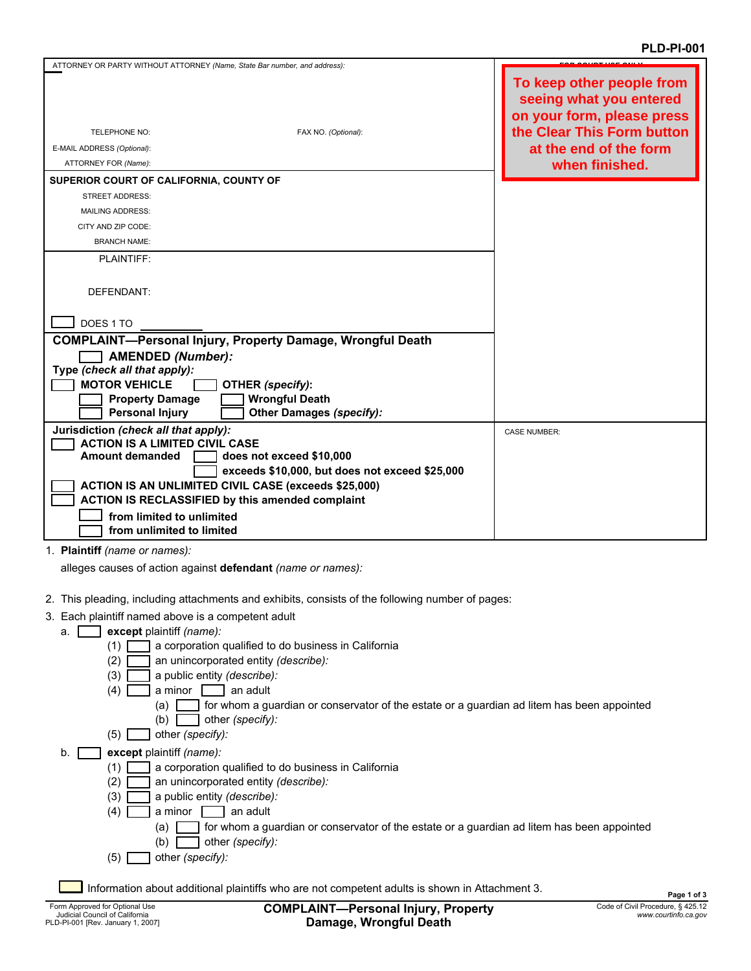| ATTORNEY OR PARTY WITHOUT ATTORNEY (Name, State Bar number, and address): |                                                |                                                                                    |
|---------------------------------------------------------------------------|------------------------------------------------|------------------------------------------------------------------------------------|
|                                                                           |                                                | To keep other people from<br>seeing what you entered<br>on your form, please press |
| <b>TELEPHONE NO:</b>                                                      | FAX NO. (Optional):                            | the Clear This Form button                                                         |
| E-MAIL ADDRESS (Optional):                                                |                                                | at the end of the form                                                             |
| ATTORNEY FOR (Name):                                                      |                                                | when finished.                                                                     |
| SUPERIOR COURT OF CALIFORNIA, COUNTY OF                                   |                                                |                                                                                    |
| <b>STREET ADDRESS:</b>                                                    |                                                |                                                                                    |
| <b>MAILING ADDRESS:</b>                                                   |                                                |                                                                                    |
| CITY AND ZIP CODE:                                                        |                                                |                                                                                    |
| <b>BRANCH NAME:</b>                                                       |                                                |                                                                                    |
| <b>PLAINTIFF:</b>                                                         |                                                |                                                                                    |
|                                                                           |                                                |                                                                                    |
| DEFENDANT:                                                                |                                                |                                                                                    |
|                                                                           |                                                |                                                                                    |
| DOES 1 TO                                                                 |                                                |                                                                                    |
| <b>COMPLAINT-Personal Injury, Property Damage, Wrongful Death</b>         |                                                |                                                                                    |
| <b>AMENDED (Number):</b>                                                  |                                                |                                                                                    |
| Type (check all that apply):                                              |                                                |                                                                                    |
| <b>MOTOR VEHICLE</b>                                                      | OTHER (specify):                               |                                                                                    |
| <b>Property Damage</b>                                                    | <b>Wrongful Death</b>                          |                                                                                    |
| <b>Personal Injury</b>                                                    | <b>Other Damages (specify):</b>                |                                                                                    |
| Jurisdiction (check all that apply):                                      |                                                | <b>CASE NUMBER:</b>                                                                |
| <b>ACTION IS A LIMITED CIVIL CASE</b>                                     |                                                |                                                                                    |
| Amount demanded                                                           | does not exceed \$10,000                       |                                                                                    |
| <b>ACTION IS AN UNLIMITED CIVIL CASE (exceeds \$25,000)</b>               | exceeds \$10,000, but does not exceed \$25,000 |                                                                                    |
| <b>ACTION IS RECLASSIFIED by this amended complaint</b>                   |                                                |                                                                                    |
| from limited to unlimited                                                 |                                                |                                                                                    |
| from unlimited to limited                                                 |                                                |                                                                                    |
|                                                                           |                                                |                                                                                    |

1. **Plaintiff** *(name or names):*

alleges causes of action against **defendant** *(name or names):*

- 2. This pleading, including attachments and exhibits, consists of the following number of pages:
- 3. Each plaintiff named above is a competent adult
	- a. **except** plaintiff *(name):*
		- $(1)$  $\Box$  a corporation qualified to do business in California
		- $(2)$ an unincorporated entity *(describe):*
		- $(3)$ a public entity *(describe):*
		- $(4)$  a minor an adult
			- (a) for whom a guardian or conservator of the estate or a guardian ad litem has been appointed
			- $(b)$ other *(specify):*
		- (5) other *(specify):*
	- b. **except** plaintiff *(name):*
		- $(1)$ a corporation qualified to do business in California
		- $(2)$ an unincorporated entity *(describe):*
		- $(3)$ a public entity *(describe):*
		- $(4)$  a minor an adult
			- (a) for whom a guardian or conservator of the estate or a guardian ad litem has been appointed
			- (b) other *(specify):*
		- (5) other *(specify):*

Information about additional plaintiffs who are not competent adults is shown in Attachment 3.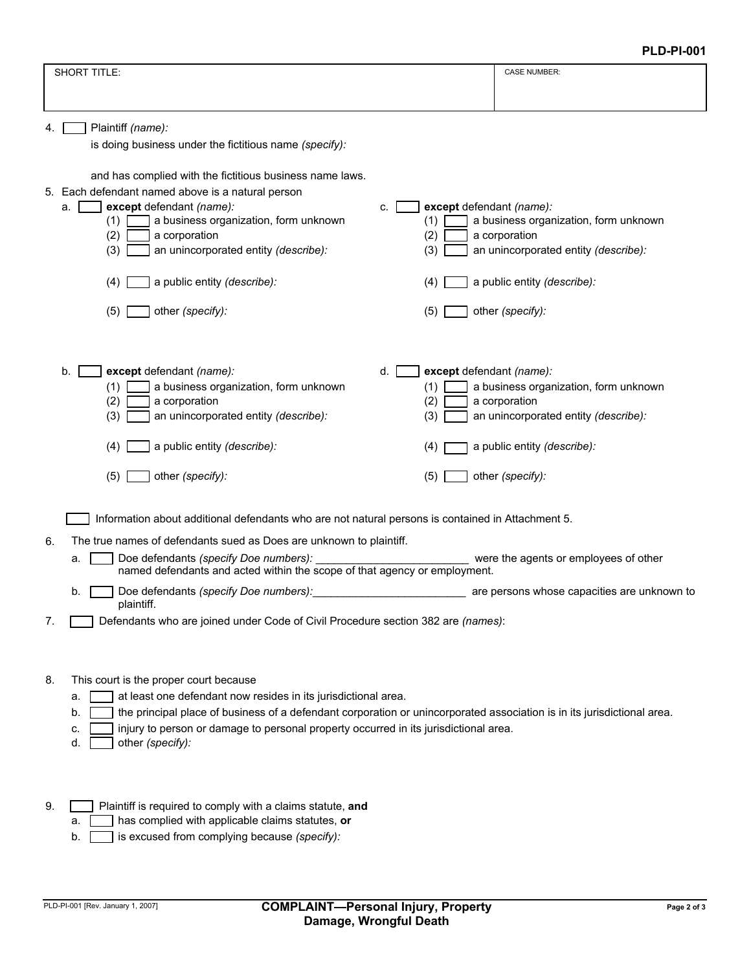|    |                                                                                                                                                                                                                                                                                                                                                                        | <b>PLD-PI-001</b>                                                                                                                                 |
|----|------------------------------------------------------------------------------------------------------------------------------------------------------------------------------------------------------------------------------------------------------------------------------------------------------------------------------------------------------------------------|---------------------------------------------------------------------------------------------------------------------------------------------------|
|    | <b>SHORT TITLE:</b>                                                                                                                                                                                                                                                                                                                                                    | <b>CASE NUMBER:</b>                                                                                                                               |
|    |                                                                                                                                                                                                                                                                                                                                                                        |                                                                                                                                                   |
| 4. | Plaintiff (name):<br>is doing business under the fictitious name (specify):                                                                                                                                                                                                                                                                                            |                                                                                                                                                   |
|    | and has complied with the fictitious business name laws.<br>5. Each defendant named above is a natural person<br>except defendant (name):<br>except defendant (name):<br>а.<br>c.<br>a business organization, form unknown<br>(1)<br>(1)<br>(2)<br>a corporation<br>(2)<br>(3)<br>an unincorporated entity (describe):<br>(3)                                          | a business organization, form unknown<br>a corporation<br>an unincorporated entity (describe):                                                    |
|    | a public entity (describe):<br>(4)<br>(4)                                                                                                                                                                                                                                                                                                                              | a public entity (describe):                                                                                                                       |
|    | (5)<br>other (specify):<br>(5)                                                                                                                                                                                                                                                                                                                                         | other (specify):                                                                                                                                  |
|    | except defendant (name):<br>d.<br>except defendant (name):<br>b.<br>(1)<br>a business organization, form unknown<br>(1)<br>(2)<br>(2)<br>a corporation<br>(3)<br>(3)<br>an unincorporated entity (describe):<br>a public entity (describe):<br>(4)<br>(4)<br>other (specify):<br>(5)<br>(5)                                                                            | a business organization, form unknown<br>a corporation<br>an unincorporated entity (describe):<br>a public entity (describe):<br>other (specify): |
| 6. | Information about additional defendants who are not natural persons is contained in Attachment 5.<br>The true names of defendants sued as Does are unknown to plaintiff.<br>Doe defendants (specify Doe numbers):<br>a.                                                                                                                                                | were the agents or employees of other                                                                                                             |
|    | named defendants and acted within the scope of that agency or employment.<br>Doe defendants (specify Doe numbers):<br>b.                                                                                                                                                                                                                                               | are persons whose capacities are unknown to                                                                                                       |
| 7. | plaintiff.<br>Defendants who are joined under Code of Civil Procedure section 382 are (names):                                                                                                                                                                                                                                                                         |                                                                                                                                                   |
| 8. | This court is the proper court because<br>at least one defendant now resides in its jurisdictional area.<br>a.<br>the principal place of business of a defendant corporation or unincorporated association is in its jurisdictional area.<br>b<br>injury to person or damage to personal property occurred in its jurisdictional area.<br>c.<br>other (specify):<br>d. |                                                                                                                                                   |
| 9. | Plaintiff is required to comply with a claims statute, and<br>has complied with applicable claims statutes, or<br>a.                                                                                                                                                                                                                                                   |                                                                                                                                                   |

b. is excused from complying because *(specify):*